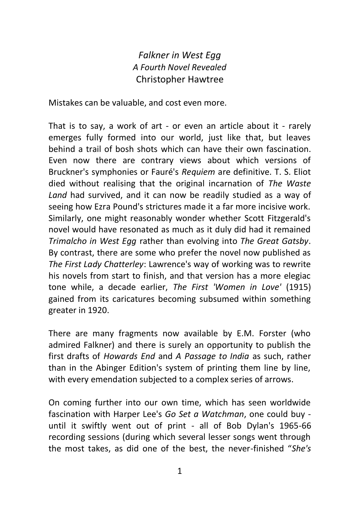## *Falkner in West Egg A Fourth Novel Revealed* Christopher Hawtree

Mistakes can be valuable, and cost even more.

That is to say, a work of art - or even an article about it - rarely emerges fully formed into our world, just like that, but leaves behind a trail of bosh shots which can have their own fascination. Even now there are contrary views about which versions of Bruckner's symphonies or Fauré's *Requiem* are definitive. T. S. Eliot died without realising that the original incarnation of *The Waste Land* had survived, and it can now be readily studied as a way of seeing how Ezra Pound's strictures made it a far more incisive work. Similarly, one might reasonably wonder whether Scott Fitzgerald's novel would have resonated as much as it duly did had it remained *Trimalcho in West Egg* rather than evolving into *The Great Gatsby*. By contrast, there are some who prefer the novel now published as *The First Lady Chatterley*: Lawrence's way of working was to rewrite his novels from start to finish, and that version has a more elegiac tone while, a decade earlier, *The First 'Women in Love'* (1915) gained from its caricatures becoming subsumed within something greater in 1920.

There are many fragments now available by E.M. Forster (who admired Falkner) and there is surely an opportunity to publish the first drafts of *Howards End* and *A Passage to India* as such, rather than in the Abinger Edition's system of printing them line by line, with every emendation subjected to a complex series of arrows.

On coming further into our own time, which has seen worldwide fascination with Harper Lee's *Go Set a Watchman*, one could buy until it swiftly went out of print - all of Bob Dylan's 1965-66 recording sessions (during which several lesser songs went through the most takes, as did one of the best, the never-finished "*She's*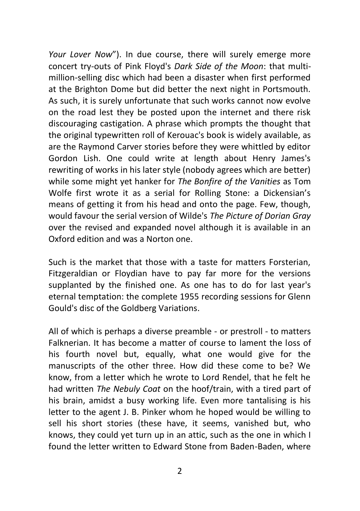*Your Lover Now*"). In due course, there will surely emerge more concert try-outs of Pink Floyd's *Dark Side of the Moon*: that multimillion-selling disc which had been a disaster when first performed at the Brighton Dome but did better the next night in Portsmouth. As such, it is surely unfortunate that such works cannot now evolve on the road lest they be posted upon the internet and there risk discouraging castigation. A phrase which prompts the thought that the original typewritten roll of Kerouac's book is widely available, as are the Raymond Carver stories before they were whittled by editor Gordon Lish. One could write at length about Henry James's rewriting of works in his later style (nobody agrees which are better) while some might yet hanker for *The Bonfire of the Vanities* as Tom Wolfe first wrote it as a serial for Rolling Stone: a Dickensian's means of getting it from his head and onto the page. Few, though, would favour the serial version of Wilde's *The Picture of Dorian Gray*  over the revised and expanded novel although it is available in an Oxford edition and was a Norton one.

Such is the market that those with a taste for matters Forsterian, Fitzgeraldian or Floydian have to pay far more for the versions supplanted by the finished one. As one has to do for last year's eternal temptation: the complete 1955 recording sessions for Glenn Gould's disc of the Goldberg Variations.

All of which is perhaps a diverse preamble - or prestroll - to matters Falknerian. It has become a matter of course to lament the loss of his fourth novel but, equally, what one would give for the manuscripts of the other three. How did these come to be? We know, from a letter which he wrote to Lord Rendel, that he felt he had written *The Nebuly Coat* on the hoof/train, with a tired part of his brain, amidst a busy working life. Even more tantalising is his letter to the agent J. B. Pinker whom he hoped would be willing to sell his short stories (these have, it seems, vanished but, who knows, they could yet turn up in an attic, such as the one in which I found the letter written to Edward Stone from Baden-Baden, where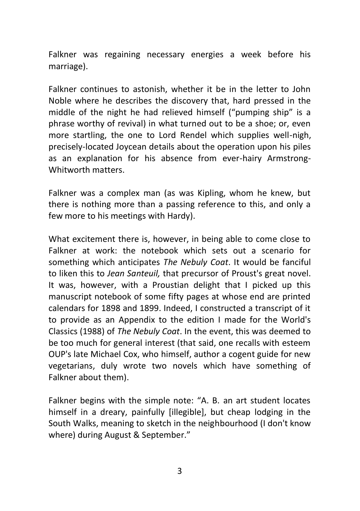Falkner was regaining necessary energies a week before his marriage).

Falkner continues to astonish, whether it be in the letter to John Noble where he describes the discovery that, hard pressed in the middle of the night he had relieved himself ("pumping ship" is a phrase worthy of revival) in what turned out to be a shoe; or, even more startling, the one to Lord Rendel which supplies well-nigh, precisely-located Joycean details about the operation upon his piles as an explanation for his absence from ever-hairy Armstrong-Whitworth matters.

Falkner was a complex man (as was Kipling, whom he knew, but there is nothing more than a passing reference to this, and only a few more to his meetings with Hardy).

What excitement there is, however, in being able to come close to Falkner at work: the notebook which sets out a scenario for something which anticipates *The Nebuly Coat*. It would be fanciful to liken this to *Jean Santeuil,* that precursor of Proust's great novel. It was, however, with a Proustian delight that I picked up this manuscript notebook of some fifty pages at whose end are printed calendars for 1898 and 1899. Indeed, I constructed a transcript of it to provide as an Appendix to the edition I made for the World's Classics (1988) of *The Nebuly Coat*. In the event, this was deemed to be too much for general interest (that said, one recalls with esteem OUP's late Michael Cox, who himself, author a cogent guide for new vegetarians, duly wrote two novels which have something of Falkner about them).

Falkner begins with the simple note: "A. B. an art student locates himself in a dreary, painfully [illegible], but cheap lodging in the South Walks, meaning to sketch in the neighbourhood (I don't know where) during August & September."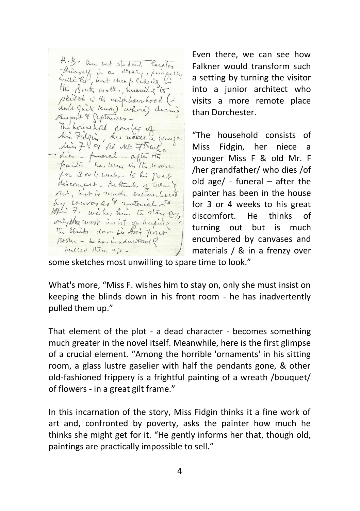A.B. an out student locates himself in a drawn, permetty the South walk, meaning to sketch in the neighbourhood () don't gait kurs) where during August & September -The household consists of Min Fidgin, her mere a compos Min 7 of old Mr Thanks - dies - funeral - cifle. Ht painter has been in the leoner for 3 or 4 meets - to his great discourant- Hethento of Turner net, but is reach encumbered by couver 20 % material 7 only stee must insist on hugung The blinds down in their first Toda - behavinaducted? fulled them up -

Even there, we can see how Falkner would transform such a setting by turning the visitor into a junior architect who visits a more remote place than Dorchester.

"The household consists of Miss Fidgin, her niece a younger Miss F & old Mr. F /her grandfather/ who dies /of old age/ - funeral – after the painter has been in the house for 3 or 4 weeks to his great discomfort. He thinks of turning out but is much encumbered by canvases and materials / & in a frenzy over

some sketches most unwilling to spare time to look."

What's more, "Miss F. wishes him to stay on, only she must insist on keeping the blinds down in his front room - he has inadvertently pulled them up."

That element of the plot - a dead character - becomes something much greater in the novel itself. Meanwhile, here is the first glimpse of a crucial element. "Among the horrible 'ornaments' in his sitting room, a glass lustre gaselier with half the pendants gone, & other old-fashioned frippery is a frightful painting of a wreath /bouquet/ of flowers - in a great gilt frame."

In this incarnation of the story, Miss Fidgin thinks it a fine work of art and, confronted by poverty, asks the painter how much he thinks she might get for it. "He gently informs her that, though old, paintings are practically impossible to sell."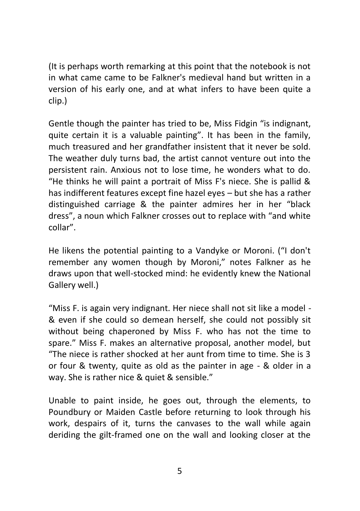(It is perhaps worth remarking at this point that the notebook is not in what came came to be Falkner's medieval hand but written in a version of his early one, and at what infers to have been quite a clip.)

Gentle though the painter has tried to be, Miss Fidgin "is indignant, quite certain it is a valuable painting". It has been in the family, much treasured and her grandfather insistent that it never be sold. The weather duly turns bad, the artist cannot venture out into the persistent rain. Anxious not to lose time, he wonders what to do. "He thinks he will paint a portrait of Miss F's niece. She is pallid & has indifferent features except fine hazel eyes – but she has a rather distinguished carriage & the painter admires her in her "black dress", a noun which Falkner crosses out to replace with "and white collar".

He likens the potential painting to a Vandyke or Moroni. ("I don't remember any women though by Moroni," notes Falkner as he draws upon that well-stocked mind: he evidently knew the National Gallery well.)

"Miss F. is again very indignant. Her niece shall not sit like a model - & even if she could so demean herself, she could not possibly sit without being chaperoned by Miss F. who has not the time to spare." Miss F. makes an alternative proposal, another model, but "The niece is rather shocked at her aunt from time to time. She is 3 or four & twenty, quite as old as the painter in age - & older in a way. She is rather nice & quiet & sensible."

Unable to paint inside, he goes out, through the elements, to Poundbury or Maiden Castle before returning to look through his work, despairs of it, turns the canvases to the wall while again deriding the gilt-framed one on the wall and looking closer at the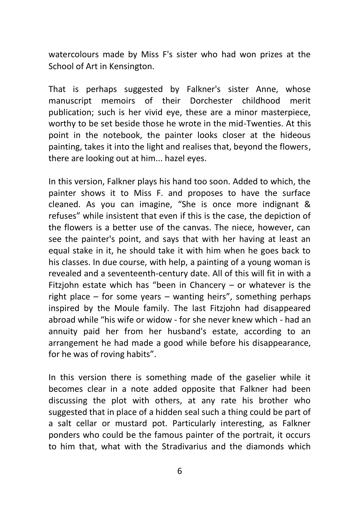watercolours made by Miss F's sister who had won prizes at the School of Art in Kensington.

That is perhaps suggested by Falkner's sister Anne, whose manuscript memoirs of their Dorchester childhood merit publication; such is her vivid eye, these are a minor masterpiece, worthy to be set beside those he wrote in the mid-Twenties. At this point in the notebook, the painter looks closer at the hideous painting, takes it into the light and realises that, beyond the flowers, there are looking out at him... hazel eyes.

In this version, Falkner plays his hand too soon. Added to which, the painter shows it to Miss F. and proposes to have the surface cleaned. As you can imagine, "She is once more indignant & refuses" while insistent that even if this is the case, the depiction of the flowers is a better use of the canvas. The niece, however, can see the painter's point, and says that with her having at least an equal stake in it, he should take it with him when he goes back to his classes. In due course, with help, a painting of a young woman is revealed and a seventeenth-century date. All of this will fit in with a Fitzjohn estate which has "been in Chancery  $-$  or whatever is the right place – for some years – wanting heirs", something perhaps inspired by the Moule family. The last Fitzjohn had disappeared abroad while "his wife or widow - for she never knew which - had an annuity paid her from her husband's estate, according to an arrangement he had made a good while before his disappearance, for he was of roving habits".

In this version there is something made of the gaselier while it becomes clear in a note added opposite that Falkner had been discussing the plot with others, at any rate his brother who suggested that in place of a hidden seal such a thing could be part of a salt cellar or mustard pot. Particularly interesting, as Falkner ponders who could be the famous painter of the portrait, it occurs to him that, what with the Stradivarius and the diamonds which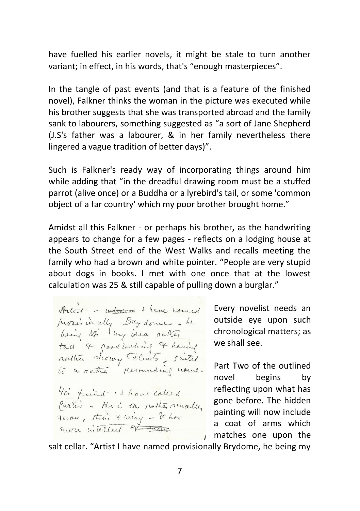have fuelled his earlier novels, it might be stale to turn another variant; in effect, in his words, that's "enough masterpieces".

In the tangle of past events (and that is a feature of the finished novel), Falkner thinks the woman in the picture was executed while his brother suggests that she was transported abroad and the family sank to labourers, something suggested as "a sort of Jane Shepherd (J.S's father was a labourer, & in her family nevertheless there lingered a vague tradition of better days)".

Such is Falkner's ready way of incorporating things around him while adding that "in the dreadful drawing room must be a stuffed parrot (alive once) or a Buddha or a lyrebird's tail, or some 'common object of a far country' which my poor brother brought home."

Amidst all this Falkner - or perhaps his brother, as the handwriting appears to change for a few pages - reflects on a lodging house at the South Street end of the West Walks and recalls meeting the family who had a brown and white pointer. "People are very stupid about dogs in books. I met with one once that at the lowest calculation was 25 & still capable of pulling down a burglar."

Antoni - informal I have have ad provisionally Bity done - he<br>being too lung idea sakes tall 4 good looking of having rather showy talents suited His friend : I have called Curtis - He is a nother mealler

Every novelist needs an outside eye upon such chronological matters; as we shall see.

Part Two of the outlined novel begins by reflecting upon what has gone before. The hidden painting will now include a coat of arms which matches one upon the

salt cellar. "Artist I have named provisionally Brydome, he being my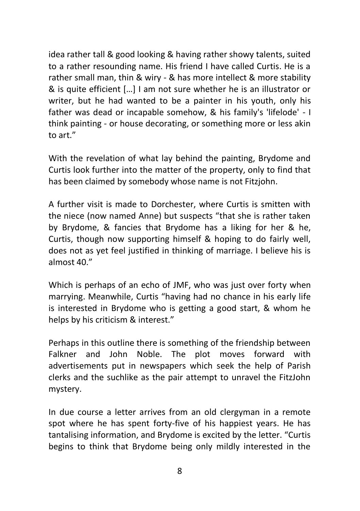idea rather tall & good looking & having rather showy talents, suited to a rather resounding name. His friend I have called Curtis. He is a rather small man, thin & wiry - & has more intellect & more stability & is quite efficient […] I am not sure whether he is an illustrator or writer, but he had wanted to be a painter in his youth, only his father was dead or incapable somehow, & his family's 'lifelode' - I think painting - or house decorating, or something more or less akin to art."

With the revelation of what lay behind the painting, Brydome and Curtis look further into the matter of the property, only to find that has been claimed by somebody whose name is not Fitzjohn.

A further visit is made to Dorchester, where Curtis is smitten with the niece (now named Anne) but suspects "that she is rather taken by Brydome, & fancies that Brydome has a liking for her & he, Curtis, though now supporting himself & hoping to do fairly well, does not as yet feel justified in thinking of marriage. I believe his is almost 40."

Which is perhaps of an echo of JMF, who was just over forty when marrying. Meanwhile, Curtis "having had no chance in his early life is interested in Brydome who is getting a good start, & whom he helps by his criticism & interest."

Perhaps in this outline there is something of the friendship between Falkner and John Noble. The plot moves forward with advertisements put in newspapers which seek the help of Parish clerks and the suchlike as the pair attempt to unravel the FitzJohn mystery.

In due course a letter arrives from an old clergyman in a remote spot where he has spent forty-five of his happiest years. He has tantalising information, and Brydome is excited by the letter. "Curtis begins to think that Brydome being only mildly interested in the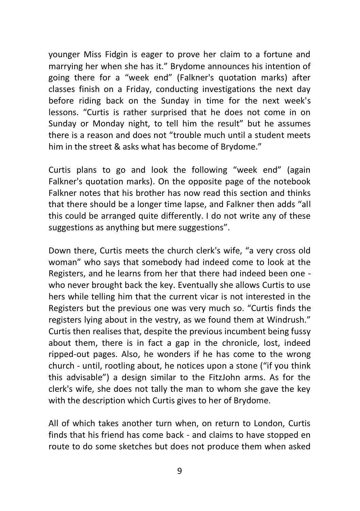younger Miss Fidgin is eager to prove her claim to a fortune and marrying her when she has it." Brydome announces his intention of going there for a "week end" (Falkner's quotation marks) after classes finish on a Friday, conducting investigations the next day before riding back on the Sunday in time for the next week's lessons. "Curtis is rather surprised that he does not come in on Sunday or Monday night, to tell him the result" but he assumes there is a reason and does not "trouble much until a student meets him in the street & asks what has become of Brydome."

Curtis plans to go and look the following "week end" (again Falkner's quotation marks). On the opposite page of the notebook Falkner notes that his brother has now read this section and thinks that there should be a longer time lapse, and Falkner then adds "all this could be arranged quite differently. I do not write any of these suggestions as anything but mere suggestions".

Down there, Curtis meets the church clerk's wife, "a very cross old woman" who says that somebody had indeed come to look at the Registers, and he learns from her that there had indeed been one who never brought back the key. Eventually she allows Curtis to use hers while telling him that the current vicar is not interested in the Registers but the previous one was very much so. "Curtis finds the registers lying about in the vestry, as we found them at Windrush." Curtis then realises that, despite the previous incumbent being fussy about them, there is in fact a gap in the chronicle, lost, indeed ripped-out pages. Also, he wonders if he has come to the wrong church - until, rootling about, he notices upon a stone ("if you think this advisable") a design similar to the FitzJohn arms. As for the clerk's wife, she does not tally the man to whom she gave the key with the description which Curtis gives to her of Brydome.

All of which takes another turn when, on return to London, Curtis finds that his friend has come back - and claims to have stopped en route to do some sketches but does not produce them when asked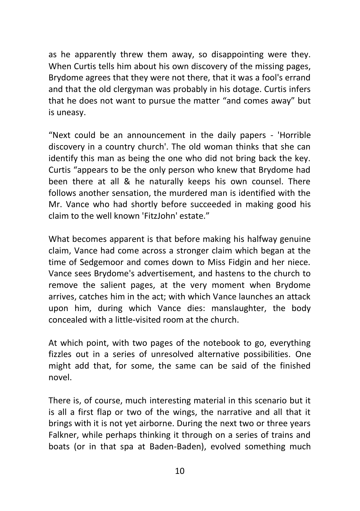as he apparently threw them away, so disappointing were they. When Curtis tells him about his own discovery of the missing pages, Brydome agrees that they were not there, that it was a fool's errand and that the old clergyman was probably in his dotage. Curtis infers that he does not want to pursue the matter "and comes away" but is uneasy.

"Next could be an announcement in the daily papers - 'Horrible discovery in a country church'. The old woman thinks that she can identify this man as being the one who did not bring back the key. Curtis "appears to be the only person who knew that Brydome had been there at all & he naturally keeps his own counsel. There follows another sensation, the murdered man is identified with the Mr. Vance who had shortly before succeeded in making good his claim to the well known 'FitzJohn' estate."

What becomes apparent is that before making his halfway genuine claim, Vance had come across a stronger claim which began at the time of Sedgemoor and comes down to Miss Fidgin and her niece. Vance sees Brydome's advertisement, and hastens to the church to remove the salient pages, at the very moment when Brydome arrives, catches him in the act; with which Vance launches an attack upon him, during which Vance dies: manslaughter, the body concealed with a little-visited room at the church.

At which point, with two pages of the notebook to go, everything fizzles out in a series of unresolved alternative possibilities. One might add that, for some, the same can be said of the finished novel.

There is, of course, much interesting material in this scenario but it is all a first flap or two of the wings, the narrative and all that it brings with it is not yet airborne. During the next two or three years Falkner, while perhaps thinking it through on a series of trains and boats (or in that spa at Baden-Baden), evolved something much